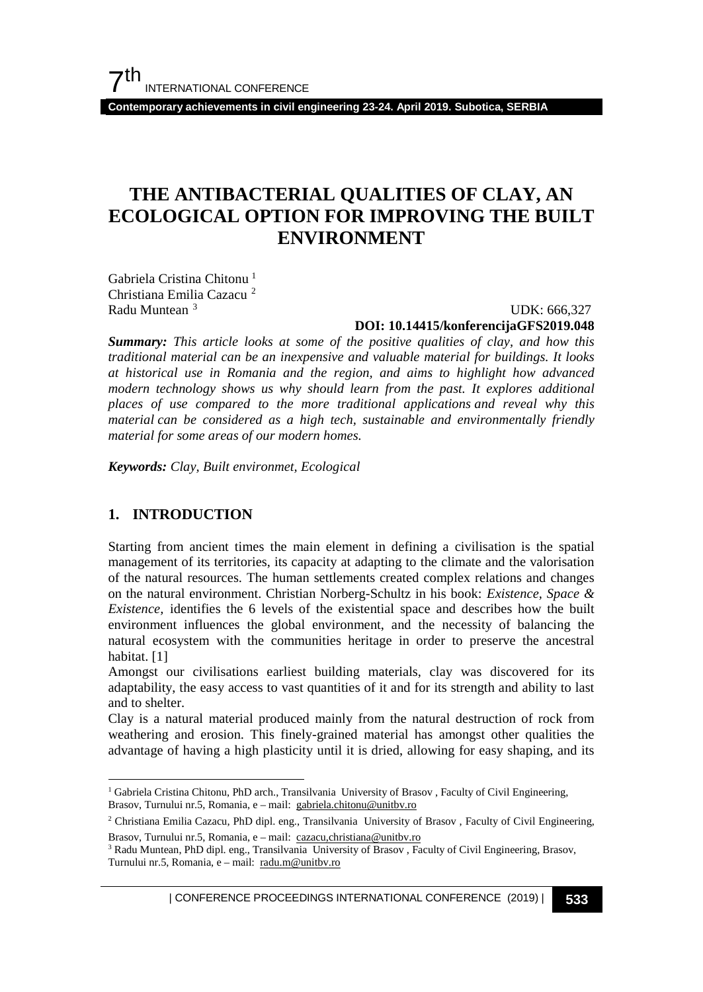**Contemporary achievements in civil engineering 23-24. April 2019. Subotica, SERBIA**

## **THE ANTIBACTERIAL QUALITIES OF CLAY, AN ECOLOGICAL OPTION FOR IMPROVING THE BUILT ENVIRONMENT**

Gabriela Cristina Chitonu [1](#page-0-0) Christiana Emilia Cazacu [2](#page-0-1) Radu Muntean [3](#page-0-2)

UDK: 666,327

#### **DOI: 10.14415/konferencijaGFS2019.048**

*Summary: This article looks at some of the positive qualities of clay, and how this traditional material can be an inexpensive and valuable material for buildings. It looks at historical use in Romania and the region, and aims to highlight how advanced modern technology shows us why should learn from the past. It explores additional places of use compared to the more traditional applications and reveal why this material can be considered as a high tech, sustainable and environmentally friendly material for some areas of our modern homes.*

*Keywords: Clay, Built environmet, Ecological*

### **1. INTRODUCTION**

Starting from ancient times the main element in defining a civilisation is the spatial management of its territories, its capacity at adapting to the climate and the valorisation of the natural resources. The human settlements created complex relations and changes on the natural environment. Christian Norberg-Schultz in his book: *Existence, Space & Existence,* identifies the 6 levels of the existential space and describes how the built environment influences the global environment, and the necessity of balancing the natural ecosystem with the communities heritage in order to preserve the ancestral habitat. [1]

Amongst our civilisations earliest building materials, clay was discovered for its adaptability, the easy access to vast quantities of it and for its strength and ability to last and to shelter.

Clay is a natural material produced mainly from the natural destruction of rock from weathering and erosion. This finely-grained material has amongst other qualities the advantage of having a high plasticity until it is dried, allowing for easy shaping, and its

<span id="page-0-0"></span><sup>&</sup>lt;sup>1</sup> Gabriela Cristina Chitonu, PhD arch., Transilvania University of Brasov, Faculty of Civil Engineering, Brasov, Turnului nr.5, Romania, e – mail: [gabriela.chitonu@unitbv.ro](mailto:gabriela.chitonu@unitbv.ro)

<span id="page-0-1"></span><sup>2</sup> Christiana Emilia Cazacu, PhD dipl. eng., Transilvania University of Brasov , Faculty of Civil Engineering, Brasov, Turnului nr.5, Romania, e – mail: [cazacu,christiana@unitbv.ro](mailto:gabriela.chitonu@unitbv.ro)

<span id="page-0-2"></span><sup>&</sup>lt;sup>3</sup> Radu Muntean, PhD dipl. eng., Transilvania University of Brasov, Faculty of Civil Engineering, Brasov, Turnului nr.5, Romania, e – mail: [radu.m@unitbv.ro](mailto:radu.m@unitbv.ro)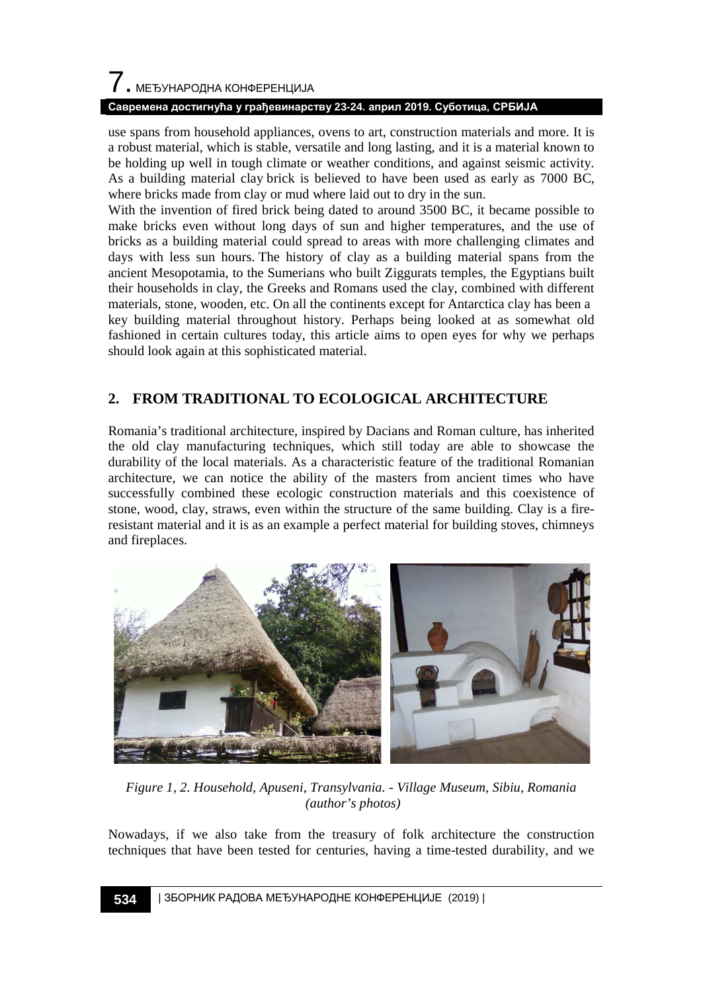### **Савремена достигнућа у грађевинарству 23-24. април 2019. Суботица, СРБИЈА**

use spans from household appliances, ovens to art, construction materials and more. It is a robust material, which is stable, versatile and long lasting, and it is a material known to be holding up well in tough climate or weather conditions, and against seismic activity. As a building material clay brick is believed to have been used as early as 7000 BC, where bricks made from clay or mud where laid out to dry in the sun.

With the invention of fired brick being dated to around 3500 BC, it became possible to make bricks even without long days of sun and higher temperatures, and the use of bricks as a building material could spread to areas with more challenging climates and days with less sun hours. The history of clay as a building material spans from the ancient Mesopotamia, to the Sumerians who built Ziggurats temples, the Egyptians built their households in clay, the Greeks and Romans used the clay, combined with different materials, stone, wooden, etc. On all the continents except for Antarctica clay has been a key building material throughout history. Perhaps being looked at as somewhat old fashioned in certain cultures today, this article aims to open eyes for why we perhaps should look again at this sophisticated material.

## **2. FROM TRADITIONAL TO ECOLOGICAL ARCHITECTURE**

Romania's traditional architecture, inspired by Dacians and Roman culture, has inherited the old clay manufacturing techniques, which still today are able to showcase the durability of the local materials. As a characteristic feature of the traditional Romanian architecture, we can notice the ability of the masters from ancient times who have successfully combined these ecologic construction materials and this coexistence of stone, wood, clay, straws, even within the structure of the same building. Clay is a fireresistant material and it is as an example a perfect material for building stoves, chimneys and fireplaces.



*Figure 1, 2. Household, Apuseni, Transylvania. - Village Museum, Sibiu, Romania (author's photos)*

Nowadays, if we also take from the treasury of folk architecture the construction techniques that have been tested for centuries, having a time-tested durability, and we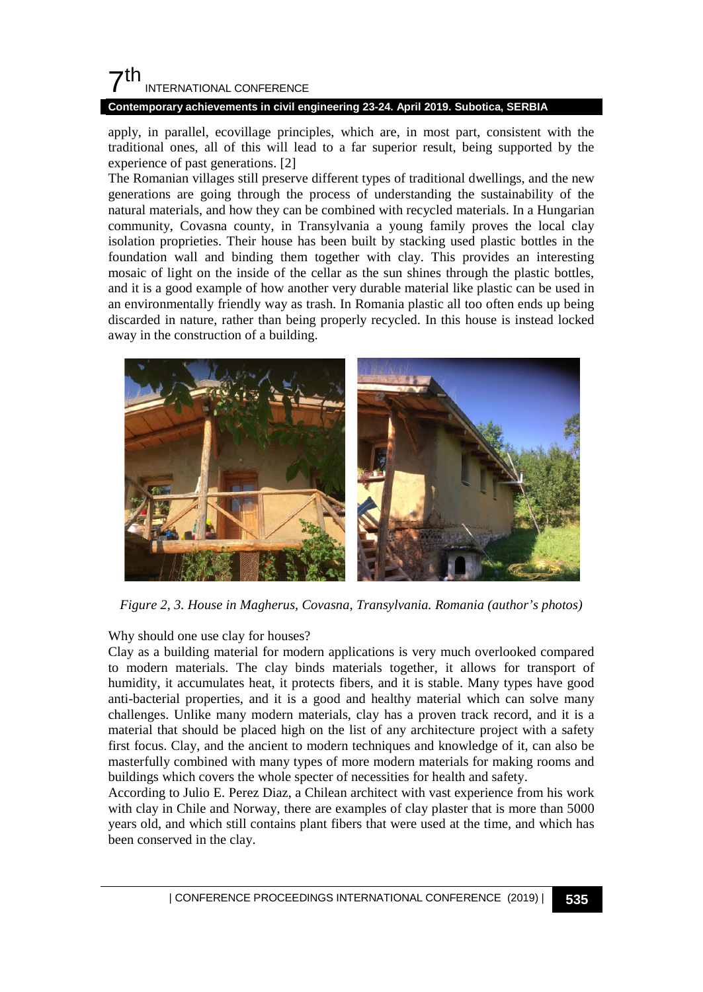## $7<sup>th</sup>$ INTERNATIONAL CONFERENCE

### **Contemporary achievements in civil engineering 23-24. April 2019. Subotica, SERBIA**

apply, in parallel, ecovillage principles, which are, in most part, consistent with the traditional ones, all of this will lead to a far superior result, being supported by the experience of past generations. [2]

The Romanian villages still preserve different types of traditional dwellings, and the new generations are going through the process of understanding the sustainability of the natural materials, and how they can be combined with recycled materials. In a Hungarian community, Covasna county, in Transylvania a young family proves the local clay isolation proprieties. Their house has been built by stacking used plastic bottles in the foundation wall and binding them together with clay. This provides an interesting mosaic of light on the inside of the cellar as the sun shines through the plastic bottles, and it is a good example of how another very durable material like plastic can be used in an environmentally friendly way as trash. In Romania plastic all too often ends up being discarded in nature, rather than being properly recycled. In this house is instead locked away in the construction of a building.



*Figure 2, 3. House in Magherus, Covasna, Transylvania. Romania (author's photos)*

### Why should one use clay for houses?

Clay as a building material for modern applications is very much overlooked compared to modern materials. The clay binds materials together, it allows for transport of humidity, it accumulates heat, it protects fibers, and it is stable. Many types have good anti-bacterial properties, and it is a good and healthy material which can solve many challenges. Unlike many modern materials, clay has a proven track record, and it is a material that should be placed high on the list of any architecture project with a safety first focus. Clay, and the ancient to modern techniques and knowledge of it, can also be masterfully combined with many types of more modern materials for making rooms and buildings which covers the whole specter of necessities for health and safety.

According to Julio E. Perez Diaz, a Chilean architect with vast experience from his work with clay in Chile and Norway, there are examples of clay plaster that is more than 5000 years old, and which still contains plant fibers that were used at the time, and which has been conserved in the clay.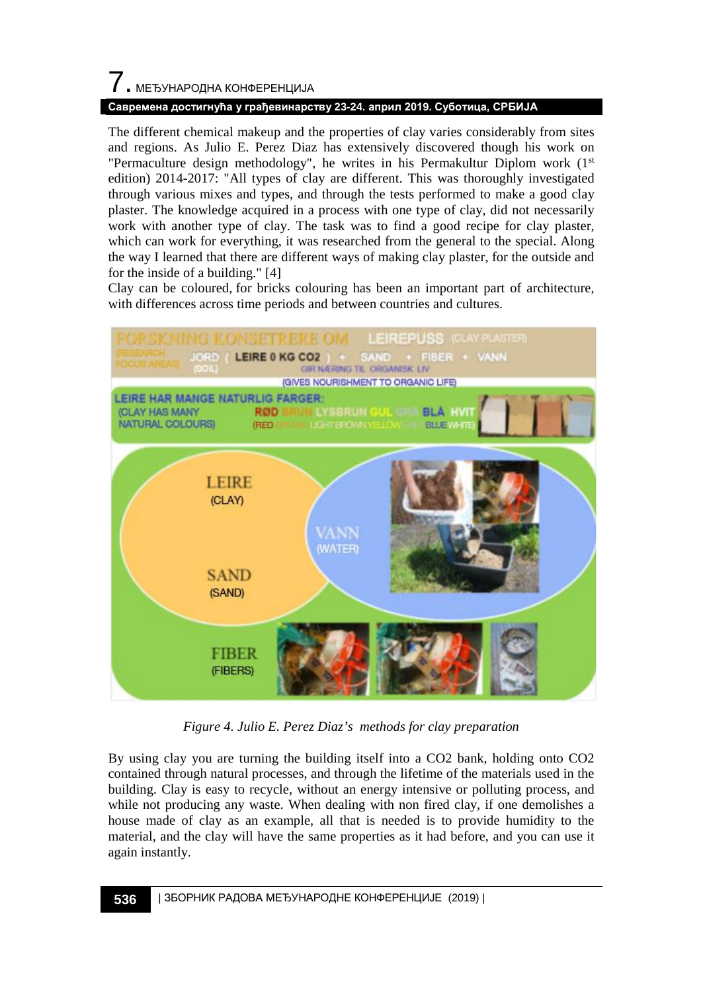# 7. МЕЂУНАРОДНА КОНФЕРЕНЦИЈА

### **Савремена достигнућа у грађевинарству 23-24. април 2019. Суботица, СРБИЈА**

The different chemical makeup and the properties of clay varies considerably from sites and regions. As Julio E. Perez Diaz has extensively discovered though his work on "Permaculture design methodology", he writes in his Permakultur Diplom work (1st edition) 2014-2017: "All types of clay are different. This was thoroughly investigated through various mixes and types, and through the tests performed to make a good clay plaster. The knowledge acquired in a process with one type of clay, did not necessarily work with another type of clay. The task was to find a good recipe for clay plaster, which can work for everything, it was researched from the general to the special. Along the way I learned that there are different ways of making clay plaster, for the outside and for the inside of a building." [4]

Clay can be coloured, for bricks colouring has been an important part of architecture, with differences across time periods and between countries and cultures.



*Figure 4. Julio E. Perez Diaz's methods for clay preparation* 

By using clay you are turning the building itself into a CO2 bank, holding onto CO2 contained through natural processes, and through the lifetime of the materials used in the building. Clay is easy to recycle, without an energy intensive or polluting process, and while not producing any waste. When dealing with non fired clay, if one demolishes a house made of clay as an example, all that is needed is to provide humidity to the material, and the clay will have the same properties as it had before, and you can use it again instantly.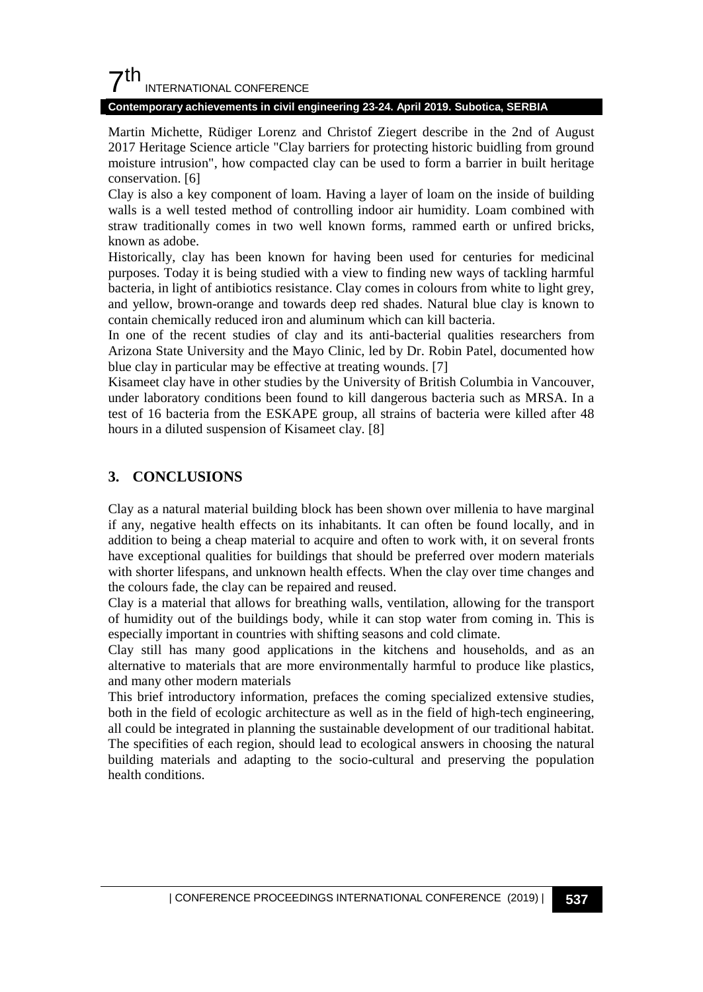## $7<sup>th</sup>$ INTERNATIONAL CONFERENCE

### **Contemporary achievements in civil engineering 23-24. April 2019. Subotica, SERBIA**

Martin Michette, Rüdiger Lorenz and Christof Ziegert describe in the 2nd of August 2017 Heritage Science article "Clay barriers for protecting historic buidling from ground moisture intrusion", how compacted clay can be used to form a barrier in built heritage conservation. [6]

Clay is also a key component of loam. Having a layer of loam on the inside of building walls is a well tested method of controlling indoor air humidity. Loam combined with straw traditionally comes in two well known forms, rammed earth or unfired bricks, known as adobe.

Historically, clay has been known for having been used for centuries for medicinal purposes. Today it is being studied with a view to finding new ways of tackling harmful bacteria, in light of antibiotics resistance. Clay comes in colours from white to light grey, and yellow, brown-orange and towards deep red shades. Natural blue clay is known to contain chemically reduced iron and aluminum which can kill bacteria.

In one of the recent studies of clay and its anti-bacterial qualities researchers from Arizona State University and the Mayo Clinic, led by Dr. Robin Patel, documented how blue clay in particular may be effective at treating wounds. [7]

Kisameet clay have in other studies by the University of British Columbia in Vancouver, under laboratory conditions been found to kill dangerous bacteria such as MRSA. In a test of 16 bacteria from the ESKAPE group, all strains of bacteria were killed after 48 hours in a diluted suspension of Kisameet clay. [8]

### **3. CONCLUSIONS**

Clay as a natural material building block has been shown over millenia to have marginal if any, negative health effects on its inhabitants. It can often be found locally, and in addition to being a cheap material to acquire and often to work with, it on several fronts have exceptional qualities for buildings that should be preferred over modern materials with shorter lifespans, and unknown health effects. When the clay over time changes and the colours fade, the clay can be repaired and reused.

Clay is a material that allows for breathing walls, ventilation, allowing for the transport of humidity out of the buildings body, while it can stop water from coming in. This is especially important in countries with shifting seasons and cold climate.

Clay still has many good applications in the kitchens and households, and as an alternative to materials that are more environmentally harmful to produce like plastics, and many other modern materials

This brief introductory information, prefaces the coming specialized extensive studies, both in the field of ecologic architecture as well as in the field of high-tech engineering, all could be integrated in planning the sustainable development of our traditional habitat. The specifities of each region, should lead to ecological answers in choosing the natural building materials and adapting to the socio-cultural and preserving the population health conditions.